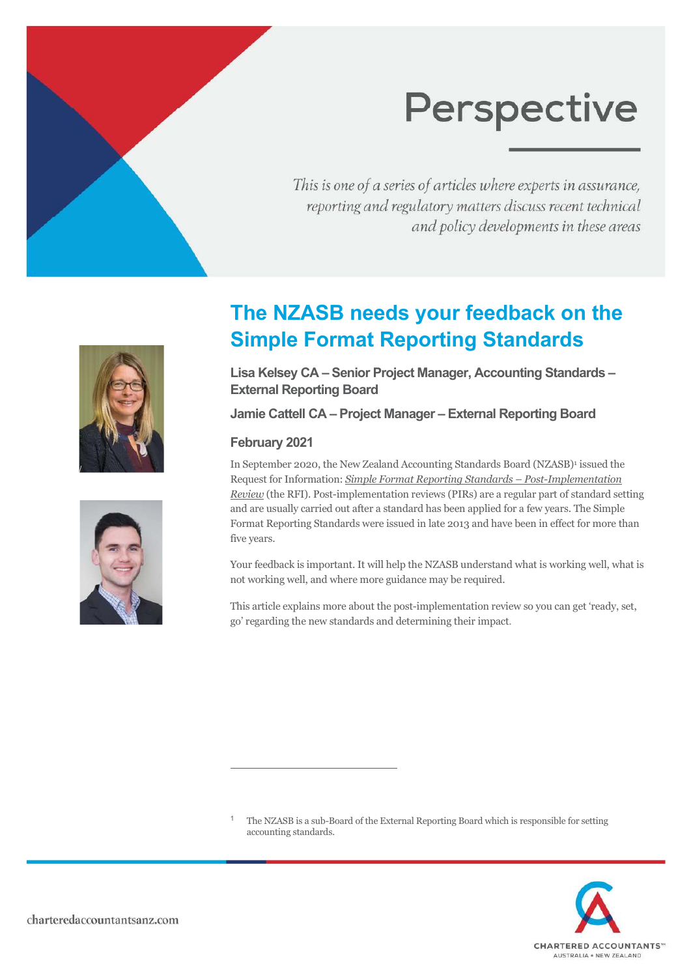This is one of a series of articles where experts in assurance, reporting and regulatory matters discuss recent technical and policy developments in these areas





# **The NZASB needs your feedback on the Simple Format Reporting Standards**

**Lisa Kelsey CA – Senior Project Manager, Accounting Standards – External Reporting Board** 

**Jamie Cattell CA – Project Manager – External Reporting Board** 

# **February 2021**

1

In September 2020, the New Zealand Accounting Standards Board (NZASB)<sup>[1](#page-0-0)</sup> issued the Request for Information: *Simple Format Reporting Standards – Post-Implementation Review* (the RFI). Post-implementation reviews (PIRs) are a regular part of standard setting and are usually carried out after a standard has been applied for a few years. The Simple Format Reporting Standards were issued in late 2013 and have been in effect for more than five years.

Your feedback is important. It will help the NZASB understand what is working well, what is not working well, and where more guidance may be required.

This article explains more about the post-implementation review so you can get 'ready, set, go' regarding the new standards and determining their impact.

<span id="page-0-0"></span> The NZASB is a sub-Board of the External Reporting Board which is responsible for setting accounting standards.

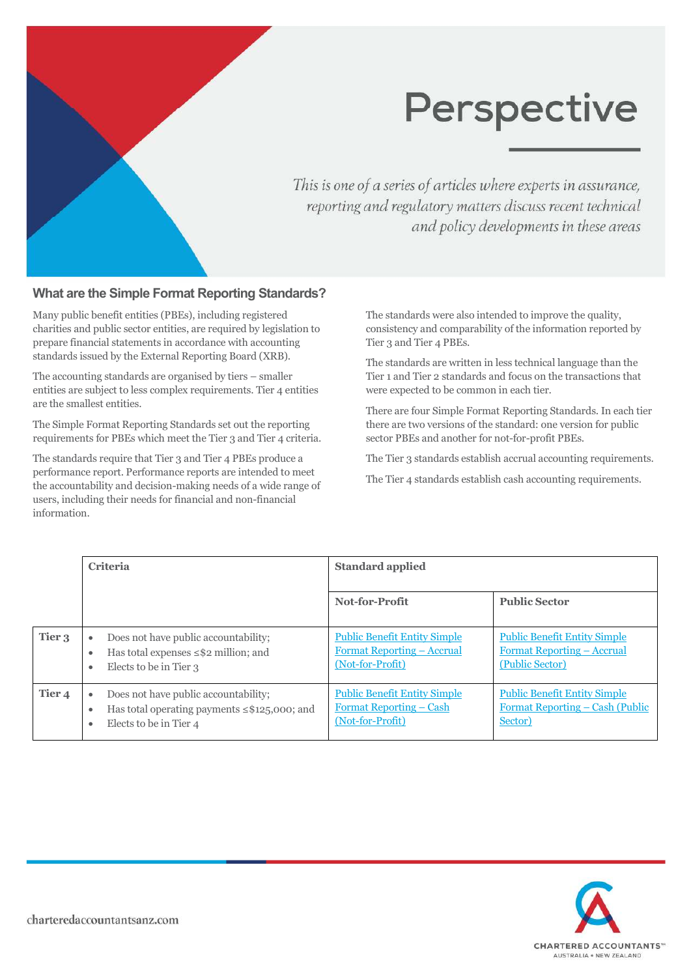

This is one of a series of articles where experts in assurance, reporting and regulatory matters discuss recent technical and policy developments in these areas

### **What are the Simple Format Reporting Standards?**

Many public benefit entities (PBEs), including registered charities and public sector entities, are required by legislation to prepare financial statements in accordance with accounting standards issued by the External Reporting Board (XRB).

The accounting standards are organised by tiers – smaller entities are subject to less complex requirements. Tier 4 entities are the smallest entities.

The Simple Format Reporting Standards set out the reporting requirements for PBEs which meet the Tier 3 and Tier 4 criteria.

The standards require that Tier 3 and Tier 4 PBEs produce a performance report. Performance reports are intended to meet the accountability and decision-making needs of a wide range of users, including their needs for financial and non-financial information.

The standards were also intended to improve the quality, consistency and comparability of the information reported by Tier 3 and Tier 4 PBEs.

The standards are written in less technical language than the Tier 1 and Tier 2 standards and focus on the transactions that were expected to be common in each tier.

There are four Simple Format Reporting Standards. In each tier there are two versions of the standard: one version for public sector PBEs and another for not-for-profit PBEs.

The Tier 3 standards establish accrual accounting requirements.

The Tier 4 standards establish cash accounting requirements.

|                   | <b>Criteria</b>                                                                                                           | <b>Standard applied</b>                                                                      |                                                                                             |
|-------------------|---------------------------------------------------------------------------------------------------------------------------|----------------------------------------------------------------------------------------------|---------------------------------------------------------------------------------------------|
|                   |                                                                                                                           | Not-for-Profit                                                                               | <b>Public Sector</b>                                                                        |
| Tier 3            | Does not have public accountability;<br>$\bullet$<br>Has total expenses $\leq$ \$2 million; and<br>Elects to be in Tier 3 | <b>Public Benefit Entity Simple</b><br><u>Format Reporting – Accrual</u><br>(Not-for-Profit) | <b>Public Benefit Entity Simple</b><br><u>Format Reporting – Accrual</u><br>(Public Sector) |
| Tier <sub>4</sub> | Does not have public accountability;<br>Has total operating payments ≤\$125,000; and<br>Elects to be in Tier 4            | <b>Public Benefit Entity Simple</b><br><u>Format Reporting – Cash</u><br>(Not-for-Profit)    | <b>Public Benefit Entity Simple</b><br><u>Format Reporting – Cash (Public</u><br>Sector)    |

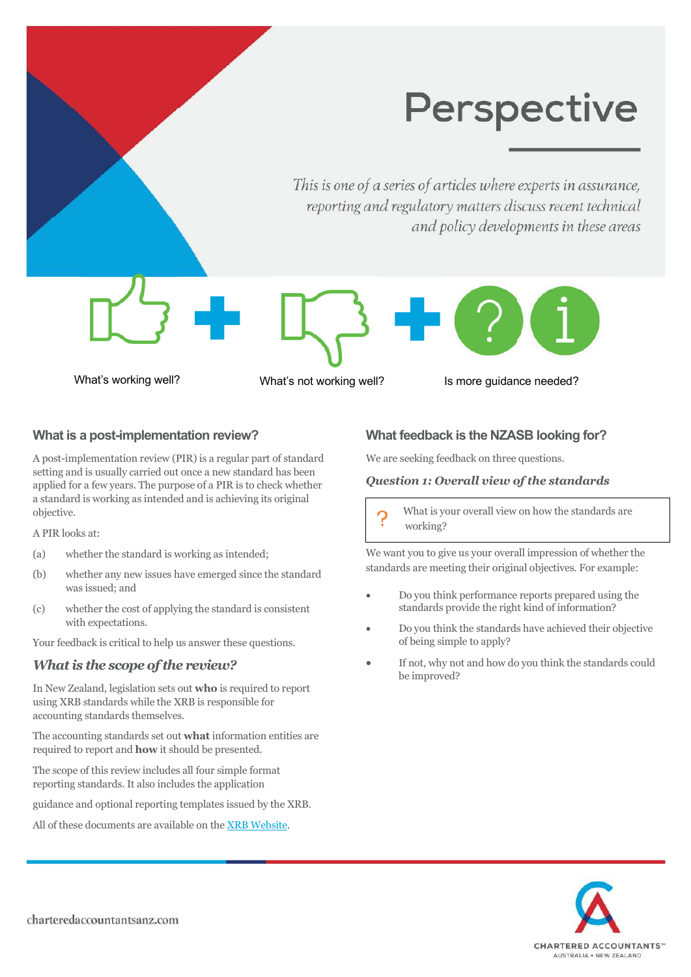This is one of a series of articles where experts in assurance, reporting and regulatory matters discuss recent technical and policy developments in these areas

What's working well? What's not working well? Is more quidance needed?

## **What is a post-implementation review?**

A post-implementation review (PIR) is a regular part of standard setting and is usually carried out once a new standard has been applied for a few years. The purpose of a PIR is to check whether a standard is working as intended and is achieving its original objective.

A PIR looks at:

- (a) whether the standard is working as intended;
- (b) whether any new issues have emerged since the standard was issued; and
- (c) whether the cost of applying the standard is consistent with expectations.

Your feedback is critical to help us answer these questions.

### *What is the scope of the review?*

In New Zealand, legislation sets out **who** is required to report using XRB standards while the XRB is responsible for accounting standards themselves.

The accounting standards set out **what** information entities are required to report and **how** it should be presented.

The scope of this review includes all four simple format reporting standards. It also includes the application

guidance and optional reporting templates issued by the XRB.

All of these documents are available on the [XRB Website.](http://www.xrb.govt.nz/)

### **What feedback is the NZASB looking for?**

We are seeking feedback on three questions.

#### *Question 1: Overall view of the standards*

What is your overall view on how the standards are working?

We want you to give us your overall impression of whether the standards are meeting their original objectives. For example:

- Do you think performance reports prepared using the standards provide the right kind of information?
- Do you think the standards have achieved their objective of being simple to apply?
- If not, why not and how do you think the standards could be improved?

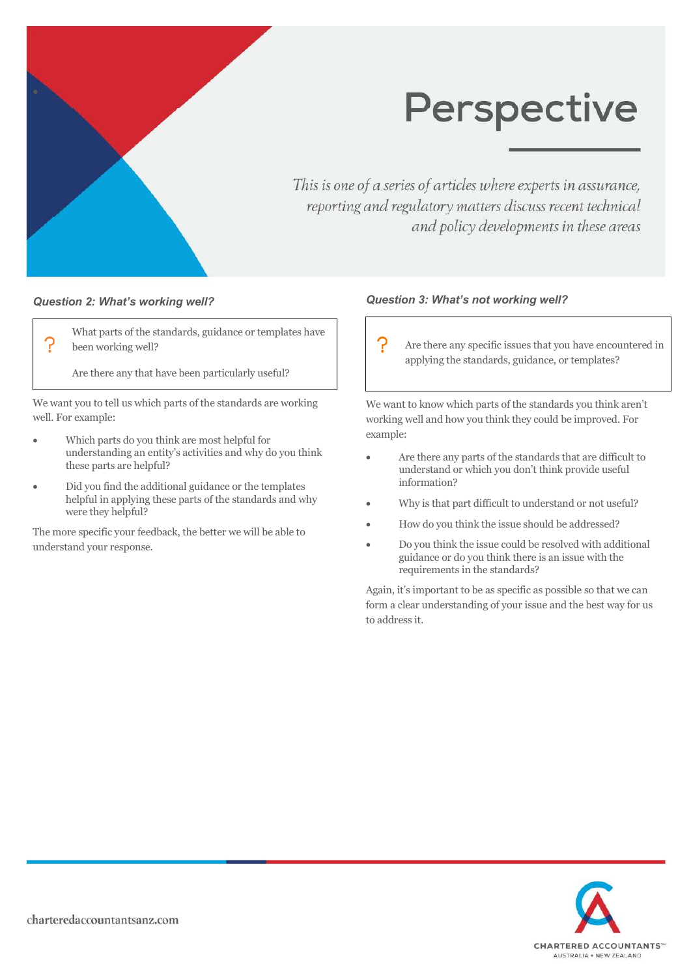

This is one of a series of articles where experts in assurance, reporting and regulatory matters discuss recent technical and policy developments in these areas

#### *Question 2: What's working well?*

What parts of the standards, guidance or templates have been working well?

Are there any that have been particularly useful?

We want you to tell us which parts of the standards are working well. For example:

- Which parts do you think are most helpful for understanding an entity's activities and why do you think these parts are helpful?
- Did you find the additional guidance or the templates helpful in applying these parts of the standards and why were they helpful?

The more specific your feedback, the better we will be able to understand your response.

#### *Question 3: What's not working well?*

ၣ Are there any specific issues that you have encountered in applying the standards, guidance, or templates?

We want to know which parts of the standards you think aren't working well and how you think they could be improved. For example:

- Are there any parts of the standards that are difficult to understand or which you don't think provide useful information?
- Why is that part difficult to understand or not useful?
- How do you think the issue should be addressed?
- Do you think the issue could be resolved with additional guidance or do you think there is an issue with the requirements in the standards?

Again, it's important to be as specific as possible so that we can form a clear understanding of your issue and the best way for us to address it.

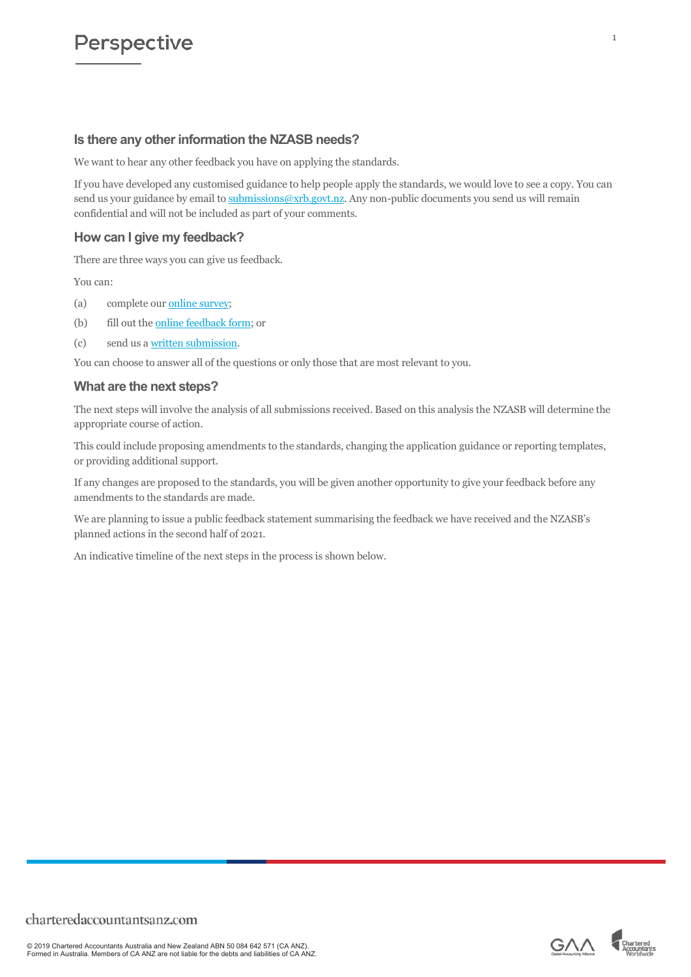## **Is there any other information the NZASB needs?**

We want to hear any other feedback you have on applying the standards.

If you have developed any customised guidance to help people apply the standards, we would love to see a copy. You can send us your guidance by email to [submissions@xrb.govt.nz.](mailto:submissions@xrb.govt.nz) Any non-public documents you send us will remain confidential and will not be included as part of your comments.

## **How can I give my feedback?**

There are three ways you can give us feedback.

You can:

- (a) complete our [online survey](https://www.surveymonkey.com/r/XRB-PIR);
- (b) fill out the [online feedback form;](https://www.xrb.govt.nz/reporting-requirements/review-of-simple-format-reporting-standards/online-feedback-form-2/) or
- (c) send us a [written submission.](https://www.xrb.govt.nz/reporting-requirements/review-of-simple-format-reporting-standards/upload-a-submission-2/)

You can choose to answer all of the questions or only those that are most relevant to you.

#### **What are the next steps?**

The next steps will involve the analysis of all submissions received. Based on this analysis the NZASB will determine the appropriate course of action.

This could include proposing amendments to the standards, changing the application guidance or reporting templates, or providing additional support.

If any changes are proposed to the standards, you will be given another opportunity to give your feedback before any amendments to the standards are made.

We are planning to issue a public feedback statement summarising the feedback we have received and the NZASB's planned actions in the second half of 2021.

An indicative timeline of the next steps in the process is shown below.

© 2019 Chartered Accountants Australia and New Zealand ABN 50 084 642 571 (CA ANZ). Formed in Australia. Members of CA ANZ are not liable for the debts and liabilities of CA ANZ.